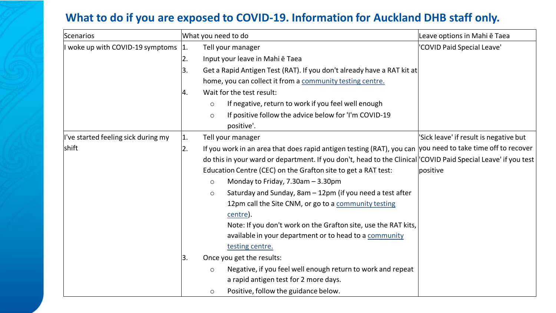## **What to do if you are exposed to COVID-19. Information for Auckland DHB staff only.**

| Scenarios                           |     | What you need to do                                                                                            | Leave options in Mahi ē Taea           |
|-------------------------------------|-----|----------------------------------------------------------------------------------------------------------------|----------------------------------------|
| I woke up with COVID-19 symptoms    | 1.  | Tell your manager                                                                                              | 'COVID Paid Special Leave'             |
|                                     | 2.  | Input your leave in Mahi e Taea                                                                                |                                        |
|                                     | Β.  | Get a Rapid Antigen Test (RAT). If you don't already have a RAT kit at                                         |                                        |
|                                     |     | home, you can collect it from a community testing centre.                                                      |                                        |
|                                     | Ι4. | Wait for the test result:                                                                                      |                                        |
|                                     |     | If negative, return to work if you feel well enough<br>$\circ$                                                 |                                        |
|                                     |     | If positive follow the advice below for 'I'm COVID-19<br>$\circ$                                               |                                        |
|                                     |     | positive'.                                                                                                     |                                        |
| I've started feeling sick during my | 11. | Tell your manager                                                                                              | 'Sick leave' if result is negative but |
| <b>shift</b>                        | 2.  | If you work in an area that does rapid antigen testing (RAT), you can $ $ you need to take time off to recover |                                        |
|                                     |     | do this in your ward or department. If you don't, head to the Clinical COVID Paid Special Leave' if you test   |                                        |
|                                     |     | Education Centre (CEC) on the Grafton site to get a RAT test:                                                  | lpositive                              |
|                                     |     | Monday to Friday, 7.30am - 3.30pm<br>$\circ$                                                                   |                                        |
|                                     |     | Saturday and Sunday, 8am - 12pm (if you need a test after<br>$\circ$                                           |                                        |
|                                     |     | 12pm call the Site CNM, or go to a community testing                                                           |                                        |
|                                     |     | centre).                                                                                                       |                                        |
|                                     |     | Note: If you don't work on the Grafton site, use the RAT kits,                                                 |                                        |
|                                     |     | available in your department or to head to a community                                                         |                                        |
|                                     |     | testing centre.                                                                                                |                                        |
|                                     | 13. | Once you get the results:                                                                                      |                                        |
|                                     |     | Negative, if you feel well enough return to work and repeat<br>$\circ$                                         |                                        |
|                                     |     | a rapid antigen test for 2 more days.                                                                          |                                        |
|                                     |     | Positive, follow the guidance below.<br>$\circ$                                                                |                                        |